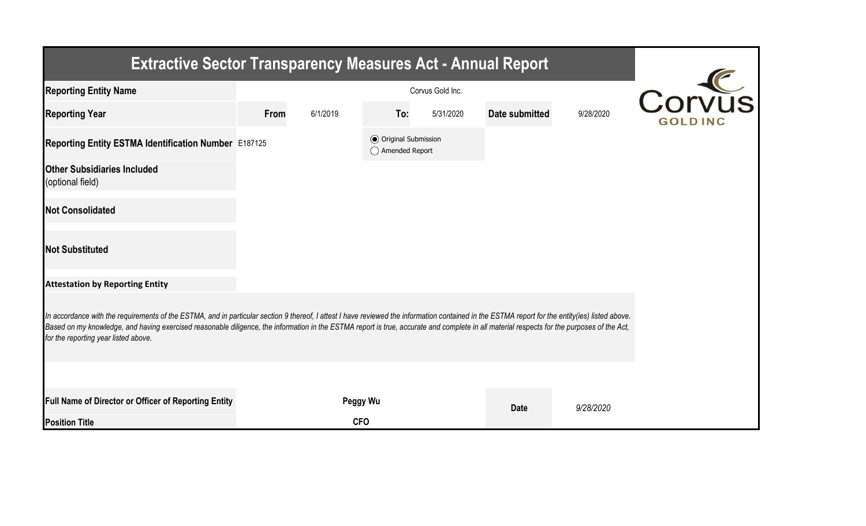| <b>Extractive Sector Transparency Measures Act - Annual Report</b>                                                                                                                                                                                                                                                                                                                                                                    |      |                    |                                                  |           |                |           |  |  |  |  |
|---------------------------------------------------------------------------------------------------------------------------------------------------------------------------------------------------------------------------------------------------------------------------------------------------------------------------------------------------------------------------------------------------------------------------------------|------|--------------------|--------------------------------------------------|-----------|----------------|-----------|--|--|--|--|
| <b>Reporting Entity Name</b>                                                                                                                                                                                                                                                                                                                                                                                                          |      | $\overline{IVIIS}$ |                                                  |           |                |           |  |  |  |  |
| <b>Reporting Year</b>                                                                                                                                                                                                                                                                                                                                                                                                                 | From | 6/1/2019           | To:                                              | 5/31/2020 | Date submitted | 9/28/2020 |  |  |  |  |
| Reporting Entity ESTMA Identification Number E187125                                                                                                                                                                                                                                                                                                                                                                                  |      |                    | <b>◎</b> Original Submission<br>◯ Amended Report |           |                |           |  |  |  |  |
| <b>Other Subsidiaries Included</b><br>(optional field)                                                                                                                                                                                                                                                                                                                                                                                |      |                    |                                                  |           |                |           |  |  |  |  |
| <b>Not Consolidated</b>                                                                                                                                                                                                                                                                                                                                                                                                               |      |                    |                                                  |           |                |           |  |  |  |  |
| <b>Not Substituted</b>                                                                                                                                                                                                                                                                                                                                                                                                                |      |                    |                                                  |           |                |           |  |  |  |  |
| <b>Attestation by Reporting Entity</b>                                                                                                                                                                                                                                                                                                                                                                                                |      |                    |                                                  |           |                |           |  |  |  |  |
| In accordance with the requirements of the ESTMA, and in particular section 9 thereof, I attest I have reviewed the information contained in the ESTMA report for the entity(ies) listed above.<br>Based on my knowledge, and having exercised reasonable diligence, the information in the ESTMA report is true, accurate and complete in all material respects for the purposes of the Act,<br>for the reporting year listed above. |      |                    |                                                  |           |                |           |  |  |  |  |
|                                                                                                                                                                                                                                                                                                                                                                                                                                       |      |                    |                                                  |           |                |           |  |  |  |  |
| Full Name of Director or Officer of Reporting Entity                                                                                                                                                                                                                                                                                                                                                                                  |      | Peggy Wu           |                                                  |           | <b>Date</b>    | 9/28/2020 |  |  |  |  |
| <b>Position Title</b>                                                                                                                                                                                                                                                                                                                                                                                                                 |      | <b>CFO</b>         |                                                  |           |                |           |  |  |  |  |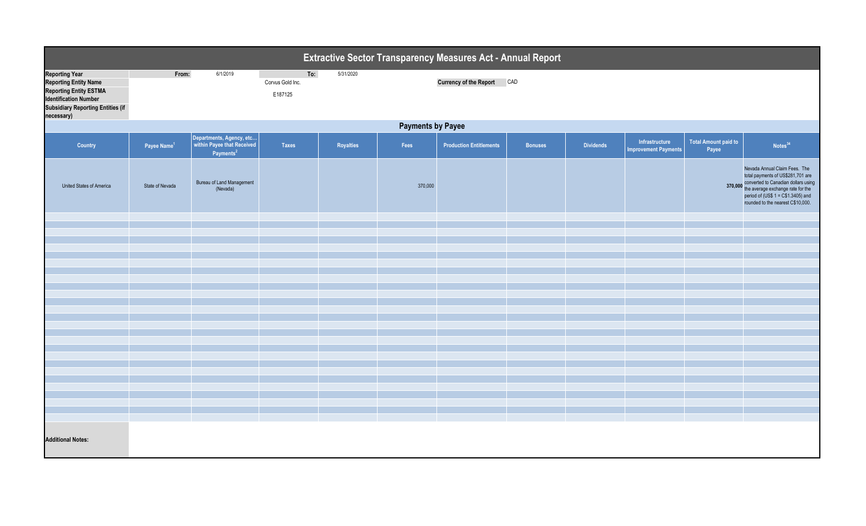| <b>Extractive Sector Transparency Measures Act - Annual Report</b>                                                                                                               |                          |                                                                                 |                                    |           |         |                                |                |                  |                                               |                                      |                                                                                                                                                                                                                                   |  |
|----------------------------------------------------------------------------------------------------------------------------------------------------------------------------------|--------------------------|---------------------------------------------------------------------------------|------------------------------------|-----------|---------|--------------------------------|----------------|------------------|-----------------------------------------------|--------------------------------------|-----------------------------------------------------------------------------------------------------------------------------------------------------------------------------------------------------------------------------------|--|
| <b>Reporting Year</b><br><b>Reporting Entity Name</b><br><b>Reporting Entity ESTMA</b><br><b>Identification Number</b><br><b>Subsidiary Reporting Entities (if</b><br>necessary) | From:                    | 6/1/2019                                                                        | To:<br>Corvus Gold Inc.<br>E187125 | 5/31/2020 |         | <b>Currency of the Report</b>  | CAD            |                  |                                               |                                      |                                                                                                                                                                                                                                   |  |
|                                                                                                                                                                                  | <b>Payments by Payee</b> |                                                                                 |                                    |           |         |                                |                |                  |                                               |                                      |                                                                                                                                                                                                                                   |  |
| <b>Country</b>                                                                                                                                                                   | Payee Name <sup>1</sup>  | Departments, Agency, etc<br>within Payee that Received<br>Payments <sup>2</sup> | <b>Taxes</b>                       | Royalties | Fees    | <b>Production Entitlements</b> | <b>Bonuses</b> | <b>Dividends</b> | Infrastructure<br><b>Improvement Payments</b> | <b>Total Amount paid to</b><br>Payee | Notes <sup>34</sup>                                                                                                                                                                                                               |  |
| United States of America                                                                                                                                                         | State of Nevada          | Bureau of Land Management<br>(Nevada)                                           |                                    |           | 370,000 |                                |                |                  |                                               |                                      | Nevada Annual Claim Fees. The<br>total payments of US\$281,701 are<br>converted to Canadian dollars using<br>370,000 the average exchange rate for the<br>period of (US\$ 1 = C\$1.3405) and<br>rounded to the nearest C\$10,000. |  |
|                                                                                                                                                                                  |                          |                                                                                 |                                    |           |         |                                |                |                  |                                               |                                      |                                                                                                                                                                                                                                   |  |
|                                                                                                                                                                                  |                          |                                                                                 |                                    |           |         |                                |                |                  |                                               |                                      |                                                                                                                                                                                                                                   |  |
|                                                                                                                                                                                  |                          |                                                                                 |                                    |           |         |                                |                |                  |                                               |                                      |                                                                                                                                                                                                                                   |  |
|                                                                                                                                                                                  |                          |                                                                                 |                                    |           |         |                                |                |                  |                                               |                                      |                                                                                                                                                                                                                                   |  |
|                                                                                                                                                                                  |                          |                                                                                 |                                    |           |         |                                |                |                  |                                               |                                      |                                                                                                                                                                                                                                   |  |
|                                                                                                                                                                                  |                          |                                                                                 |                                    |           |         |                                |                |                  |                                               |                                      |                                                                                                                                                                                                                                   |  |
|                                                                                                                                                                                  |                          |                                                                                 |                                    |           |         |                                |                |                  |                                               |                                      |                                                                                                                                                                                                                                   |  |
|                                                                                                                                                                                  |                          |                                                                                 |                                    |           |         |                                |                |                  |                                               |                                      |                                                                                                                                                                                                                                   |  |
|                                                                                                                                                                                  |                          |                                                                                 |                                    |           |         |                                |                |                  |                                               |                                      |                                                                                                                                                                                                                                   |  |
|                                                                                                                                                                                  |                          |                                                                                 |                                    |           |         |                                |                |                  |                                               |                                      |                                                                                                                                                                                                                                   |  |
|                                                                                                                                                                                  |                          |                                                                                 |                                    |           |         |                                |                |                  |                                               |                                      |                                                                                                                                                                                                                                   |  |
|                                                                                                                                                                                  |                          |                                                                                 |                                    |           |         |                                |                |                  |                                               |                                      |                                                                                                                                                                                                                                   |  |
|                                                                                                                                                                                  |                          |                                                                                 |                                    |           |         |                                |                |                  |                                               |                                      |                                                                                                                                                                                                                                   |  |
|                                                                                                                                                                                  |                          |                                                                                 |                                    |           |         |                                |                |                  |                                               |                                      |                                                                                                                                                                                                                                   |  |
|                                                                                                                                                                                  |                          |                                                                                 |                                    |           |         |                                |                |                  |                                               |                                      |                                                                                                                                                                                                                                   |  |
|                                                                                                                                                                                  |                          |                                                                                 |                                    |           |         |                                |                |                  |                                               |                                      |                                                                                                                                                                                                                                   |  |
|                                                                                                                                                                                  |                          |                                                                                 |                                    |           |         |                                |                |                  |                                               |                                      |                                                                                                                                                                                                                                   |  |
|                                                                                                                                                                                  |                          |                                                                                 |                                    |           |         |                                |                |                  |                                               |                                      |                                                                                                                                                                                                                                   |  |
|                                                                                                                                                                                  |                          |                                                                                 |                                    |           |         |                                |                |                  |                                               |                                      |                                                                                                                                                                                                                                   |  |
|                                                                                                                                                                                  |                          |                                                                                 |                                    |           |         |                                |                |                  |                                               |                                      |                                                                                                                                                                                                                                   |  |
| <b>Additional Notes:</b>                                                                                                                                                         |                          |                                                                                 |                                    |           |         |                                |                |                  |                                               |                                      |                                                                                                                                                                                                                                   |  |